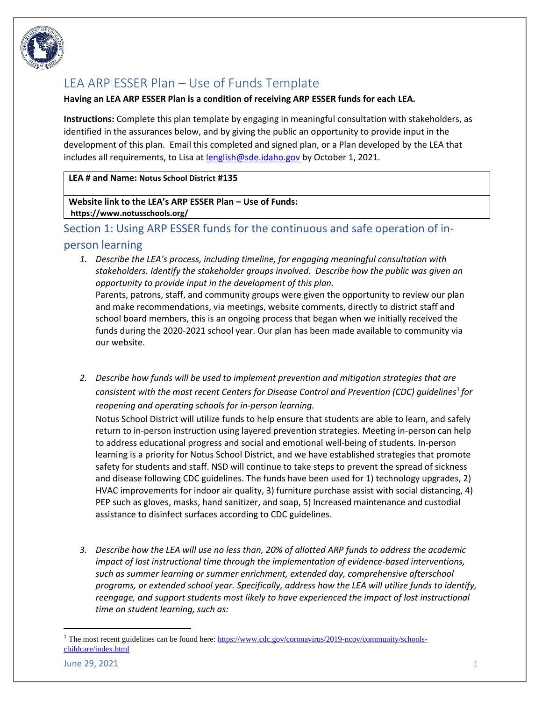

# LEA ARP ESSER Plan – Use of Funds Template

#### **Having an LEA ARP ESSER Plan is a condition of receiving ARP ESSER funds for each LEA.**

**Instructions:** Complete this plan template by engaging in meaningful consultation with stakeholders, as identified in the assurances below, and by giving the public an opportunity to provide input in the development of this plan. Email this completed and signed plan, or a Plan developed by the LEA that includes all requirements, to Lisa a[t lenglish@sde.idaho.gov](mailto:lenglish@sde.idaho.gov) by October 1, 2021.

#### **LEA # and Name: Notus School District #135**

**Website link to the LEA's ARP ESSER Plan – Use of Funds: https://www.notusschools.org/**

## Section 1: Using ARP ESSER funds for the continuous and safe operation of in-

## person learning

*1. Describe the LEA's process, including timeline, for engaging meaningful consultation with stakeholders. Identify the stakeholder groups involved. Describe how the public was given an opportunity to provide input in the development of this plan.* 

Parents, patrons, staff, and community groups were given the opportunity to review our plan and make recommendations, via meetings, website comments, directly to district staff and school board members, this is an ongoing process that began when we initially received the funds during the 2020-2021 school year. Our plan has been made available to community via our website.

*2. Describe how funds will be used to implement prevention and mitigation strategies that are consistent with the most recent Centers for Disease Control and Prevention (CDC) guidelines*<sup>1</sup> *for reopening and operating schools for in-person learning.*

Notus School District will utilize funds to help ensure that students are able to learn, and safely return to in-person instruction using layered prevention strategies. Meeting in-person can help to address educational progress and social and emotional well-being of students. In-person learning is a priority for Notus School District, and we have established strategies that promote safety for students and staff. NSD will continue to take steps to prevent the spread of sickness and disease following CDC guidelines. The funds have been used for 1) technology upgrades, 2) HVAC improvements for indoor air quality, 3) furniture purchase assist with social distancing, 4) PEP such as gloves, masks, hand sanitizer, and soap, 5) Increased maintenance and custodial assistance to disinfect surfaces according to CDC guidelines.

*3. Describe how the LEA will use no less than, 20% of allotted ARP funds to address the academic impact of lost instructional time through the implementation of evidence-based interventions, such as summer learning or summer enrichment, extended day, comprehensive afterschool programs, or extended school year. Specifically, address how the LEA will utilize funds to identify, reengage, and support students most likely to have experienced the impact of lost instructional time on student learning, such as:*

<sup>&</sup>lt;sup>1</sup> The most recent guidelines can be found here: [https://www.cdc.gov/coronavirus/2019-ncov/community/schools](https://www.cdc.gov/coronavirus/2019-ncov/community/schools-childcare/index.html)[childcare/index.html](https://www.cdc.gov/coronavirus/2019-ncov/community/schools-childcare/index.html)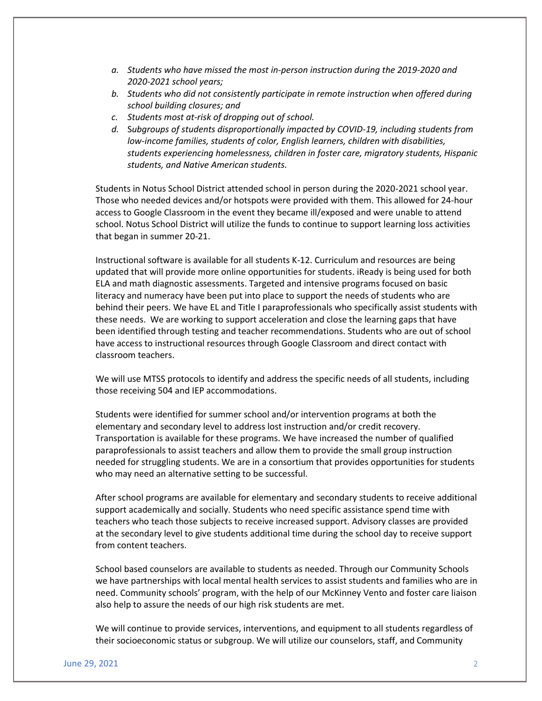- *a. Students who have missed the most in-person instruction during the 2019-2020 and 2020-2021 school years;*
- *b. Students who did not consistently participate in remote instruction when offered during school building closures; and*
- *c. Students most at-risk of dropping out of school.*
- *d.* S*ubgroups of students disproportionally impacted by COVID-19, including students from low-income families, students of color, English learners, children with disabilities, students experiencing homelessness, children in foster care, migratory students, Hispanic students, and Native American students.*

Students in Notus School District attended school in person during the 2020-2021 school year. Those who needed devices and/or hotspots were provided with them. This allowed for 24-hour access to Google Classroom in the event they became ill/exposed and were unable to attend school. Notus School District will utilize the funds to continue to support learning loss activities that began in summer 20-21.

Instructional software is available for all students K-12. Curriculum and resources are being updated that will provide more online opportunities for students. iReady is being used for both ELA and math diagnostic assessments. Targeted and intensive programs focused on basic literacy and numeracy have been put into place to support the needs of students who are behind their peers. We have EL and Title I paraprofessionals who specifically assist students with these needs. We are working to support acceleration and close the learning gaps that have been identified through testing and teacher recommendations. Students who are out of school have access to instructional resources through Google Classroom and direct contact with classroom teachers.

We will use MTSS protocols to identify and address the specific needs of all students, including those receiving 504 and IEP accommodations.

Students were identified for summer school and/or intervention programs at both the elementary and secondary level to address lost instruction and/or credit recovery. Transportation is available for these programs. We have increased the number of qualified paraprofessionals to assist teachers and allow them to provide the small group instruction needed for struggling students. We are in a consortium that provides opportunities for students who may need an alternative setting to be successful.

After school programs are available for elementary and secondary students to receive additional support academically and socially. Students who need specific assistance spend time with teachers who teach those subjects to receive increased support. Advisory classes are provided at the secondary level to give students additional time during the school day to receive support from content teachers.

School based counselors are available to students as needed. Through our Community Schools we have partnerships with local mental health services to assist students and families who are in need. Community schools' program, with the help of our McKinney Vento and foster care liaison also help to assure the needs of our high risk students are met.

We will continue to provide services, interventions, and equipment to all students regardless of their socioeconomic status or subgroup. We will utilize our counselors, staff, and Community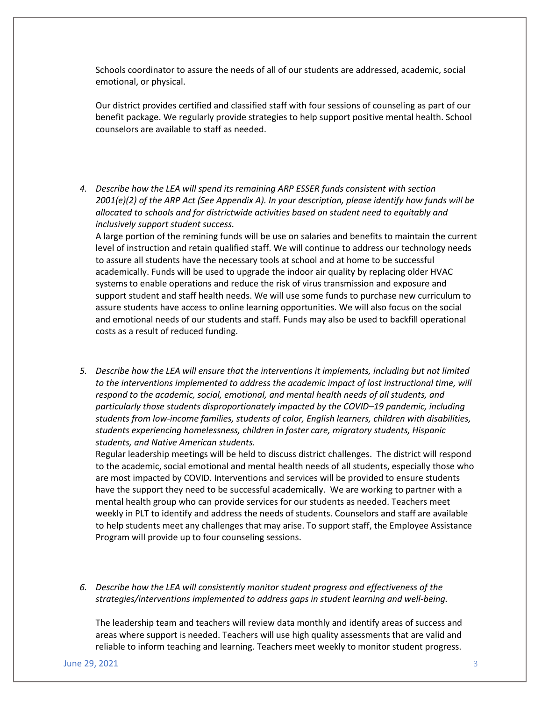Schools coordinator to assure the needs of all of our students are addressed, academic, social emotional, or physical.

Our district provides certified and classified staff with four sessions of counseling as part of our benefit package. We regularly provide strategies to help support positive mental health. School counselors are available to staff as needed.

*4. Describe how the LEA will spend its remaining ARP ESSER funds consistent with section 2001(e)(2) of the ARP Act (See Appendix A). In your description, please identify how funds will be allocated to schools and for districtwide activities based on student need to equitably and inclusively support student success.* 

A large portion of the remining funds will be use on salaries and benefits to maintain the current level of instruction and retain qualified staff. We will continue to address our technology needs to assure all students have the necessary tools at school and at home to be successful academically. Funds will be used to upgrade the indoor air quality by replacing older HVAC systems to enable operations and reduce the risk of virus transmission and exposure and support student and staff health needs. We will use some funds to purchase new curriculum to assure students have access to online learning opportunities. We will also focus on the social and emotional needs of our students and staff. Funds may also be used to backfill operational costs as a result of reduced funding.

*5. Describe how the LEA will ensure that the interventions it implements, including but not limited to the interventions implemented to address the academic impact of lost instructional time, will respond to the academic, social, emotional, and mental health needs of all students, and particularly those students disproportionately impacted by the COVID–19 pandemic, including students from low-income families, students of color, English learners, children with disabilities, students experiencing homelessness, children in foster care, migratory students, Hispanic students, and Native American students.* 

Regular leadership meetings will be held to discuss district challenges. The district will respond to the academic, social emotional and mental health needs of all students, especially those who are most impacted by COVID. Interventions and services will be provided to ensure students have the support they need to be successful academically. We are working to partner with a mental health group who can provide services for our students as needed. Teachers meet weekly in PLT to identify and address the needs of students. Counselors and staff are available to help students meet any challenges that may arise. To support staff, the Employee Assistance Program will provide up to four counseling sessions.

*6. Describe how the LEA will consistently monitor student progress and effectiveness of the strategies/interventions implemented to address gaps in student learning and well-being.* 

The leadership team and teachers will review data monthly and identify areas of success and areas where support is needed. Teachers will use high quality assessments that are valid and reliable to inform teaching and learning. Teachers meet weekly to monitor student progress.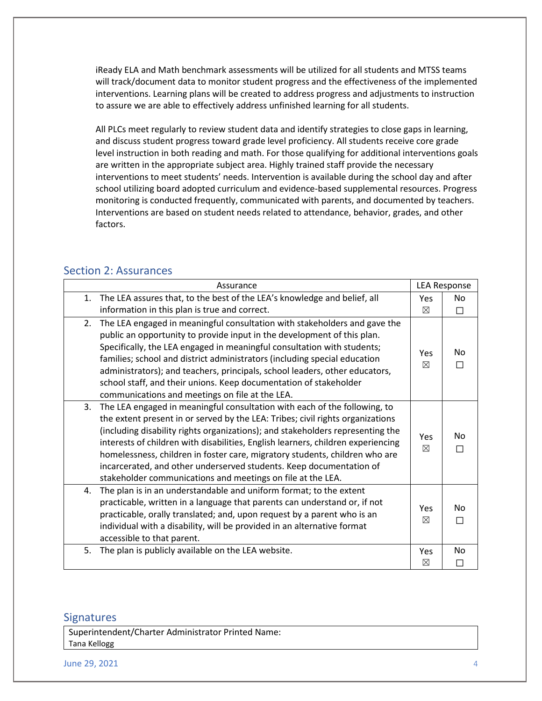iReady ELA and Math benchmark assessments will be utilized for all students and MTSS teams will track/document data to monitor student progress and the effectiveness of the implemented interventions. Learning plans will be created to address progress and adjustments to instruction to assure we are able to effectively address unfinished learning for all students.

All PLCs meet regularly to review student data and identify strategies to close gaps in learning, and discuss student progress toward grade level proficiency. All students receive core grade level instruction in both reading and math. For those qualifying for additional interventions goals are written in the appropriate subject area. Highly trained staff provide the necessary interventions to meet students' needs. Intervention is available during the school day and after school utilizing board adopted curriculum and evidence-based supplemental resources. Progress monitoring is conducted frequently, communicated with parents, and documented by teachers. Interventions are based on student needs related to attendance, behavior, grades, and other factors.

### Section 2: Assurances

|    | Assurance                                                                                                                                                                                                                                                                                                                                                                                                                                                                                                                                              |             | <b>LEA Response</b> |  |
|----|--------------------------------------------------------------------------------------------------------------------------------------------------------------------------------------------------------------------------------------------------------------------------------------------------------------------------------------------------------------------------------------------------------------------------------------------------------------------------------------------------------------------------------------------------------|-------------|---------------------|--|
| 1. | The LEA assures that, to the best of the LEA's knowledge and belief, all                                                                                                                                                                                                                                                                                                                                                                                                                                                                               | Yes         | No.                 |  |
|    | information in this plan is true and correct.                                                                                                                                                                                                                                                                                                                                                                                                                                                                                                          | $\boxtimes$ | П                   |  |
| 2. | The LEA engaged in meaningful consultation with stakeholders and gave the<br>public an opportunity to provide input in the development of this plan.<br>Specifically, the LEA engaged in meaningful consultation with students;<br>families; school and district administrators (including special education<br>administrators); and teachers, principals, school leaders, other educators,<br>school staff, and their unions. Keep documentation of stakeholder<br>communications and meetings on file at the LEA.                                    | Yes<br>⊠    | No                  |  |
| 3. | The LEA engaged in meaningful consultation with each of the following, to<br>the extent present in or served by the LEA: Tribes; civil rights organizations<br>(including disability rights organizations); and stakeholders representing the<br>interests of children with disabilities, English learners, children experiencing<br>homelessness, children in foster care, migratory students, children who are<br>incarcerated, and other underserved students. Keep documentation of<br>stakeholder communications and meetings on file at the LEA. | Yes<br>⊠    | No                  |  |
| 4. | The plan is in an understandable and uniform format; to the extent<br>practicable, written in a language that parents can understand or, if not<br>practicable, orally translated; and, upon request by a parent who is an<br>individual with a disability, will be provided in an alternative format<br>accessible to that parent.                                                                                                                                                                                                                    | Yes<br>⊠    | No                  |  |
| 5. | The plan is publicly available on the LEA website.                                                                                                                                                                                                                                                                                                                                                                                                                                                                                                     | Yes<br>⊠    | No                  |  |

### **Signatures**

Superintendent/Charter Administrator Printed Name: Tana Kellogg

June 29, 2021 4